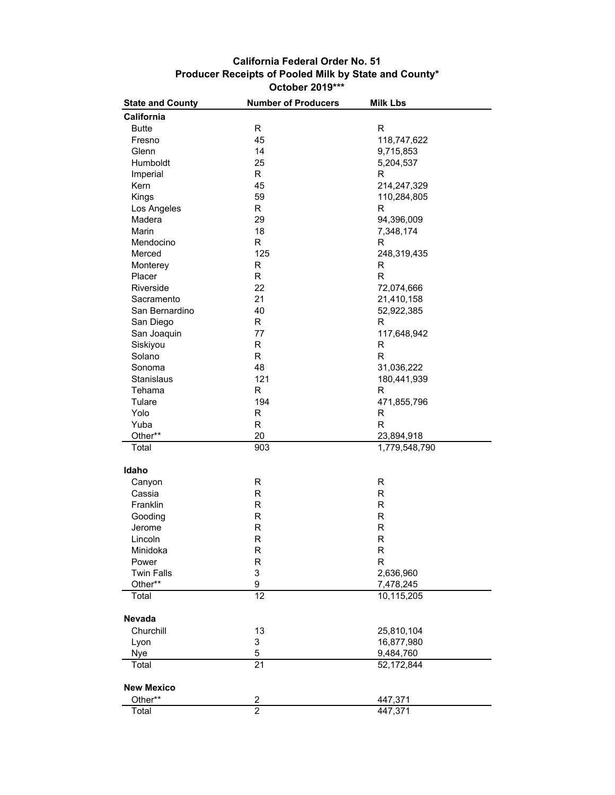## **California Federal Order No. 51 Producer Receipts of Pooled Milk by State and County\* October 2019\*\*\***

| <b>State and County</b> | <b>Number of Producers</b> | <b>Milk Lbs</b> |
|-------------------------|----------------------------|-----------------|
| California              |                            |                 |
| <b>Butte</b>            | R                          | R               |
| Fresno                  | 45                         | 118,747,622     |
| Glenn                   | 14                         | 9,715,853       |
| Humboldt                | 25                         | 5,204,537       |
| Imperial                | R.                         | R               |
| Kern                    | 45                         | 214,247,329     |
| Kings                   | 59                         | 110,284,805     |
| Los Angeles             | R                          | R               |
|                         |                            |                 |
| Madera                  | 29                         | 94,396,009      |
| Marin                   | 18                         | 7,348,174       |
| Mendocino               | R                          | R               |
| Merced                  | 125                        | 248,319,435     |
| Monterey                | R                          | R               |
| Placer                  | R                          | R               |
| Riverside               | 22                         | 72,074,666      |
| Sacramento              | 21                         | 21,410,158      |
| San Bernardino          | 40                         | 52,922,385      |
| San Diego               | R.                         | R               |
| San Joaquin             | 77                         | 117,648,942     |
| Siskiyou                | R                          | R               |
| Solano                  | R                          | R               |
| Sonoma                  | 48                         | 31,036,222      |
| Stanislaus              | 121                        | 180,441,939     |
| Tehama                  | R                          | R               |
| Tulare                  | 194                        | 471,855,796     |
| Yolo                    | R                          | R               |
| Yuba                    | R                          | R               |
| Other**                 | 20                         | 23,894,918      |
| Total                   | 903                        | 1,779,548,790   |
|                         |                            |                 |
| Idaho                   |                            |                 |
| Canyon                  | R                          | R               |
| Cassia                  | R                          | R               |
| Franklin                | R                          | $\mathsf R$     |
| Gooding                 | R                          | $\mathsf R$     |
| Jerome                  | R                          | $\mathsf R$     |
| Lincoln                 | R                          | $\mathsf R$     |
| Minidoka                | R                          | R               |
| Power                   | R                          | $\mathsf R$     |
| <b>Twin Falls</b>       | 3                          | 2,636,960       |
| Other**                 | 9                          | 7,478,245       |
| Total                   | 12                         | 10,115,205      |
|                         |                            |                 |
| <b>Nevada</b>           |                            |                 |
| Churchill               | 13                         | 25,810,104      |
| Lyon                    | 3                          | 16,877,980      |
| Nye                     | 5                          | 9,484,760       |
| Total                   | $\overline{21}$            | 52,172,844      |
| <b>New Mexico</b>       |                            |                 |
| Other**                 | $\overline{\mathbf{c}}$    | 447,371         |
| Total                   | $\overline{2}$             | 447,371         |